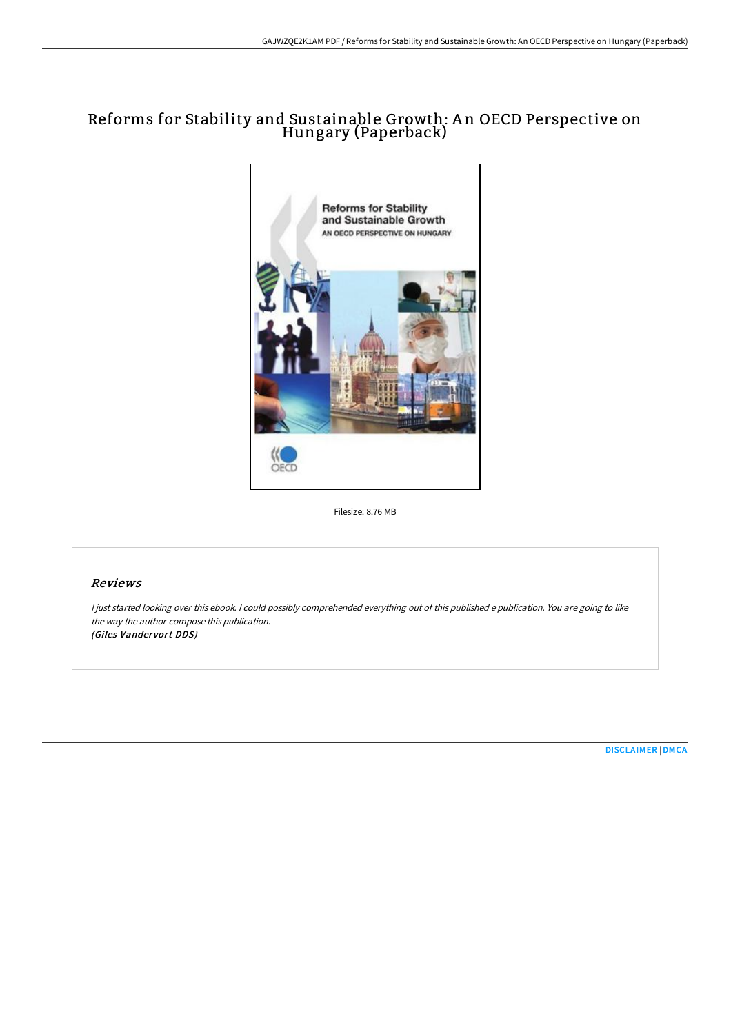## Reforms for Stability and Sustainable Growth: A n OECD Perspective on Hungary (Paperback)



Filesize: 8.76 MB

#### Reviews

<sup>I</sup> just started looking over this ebook. <sup>I</sup> could possibly comprehended everything out of this published <sup>e</sup> publication. You are going to like the way the author compose this publication. (Giles Vandervort DDS)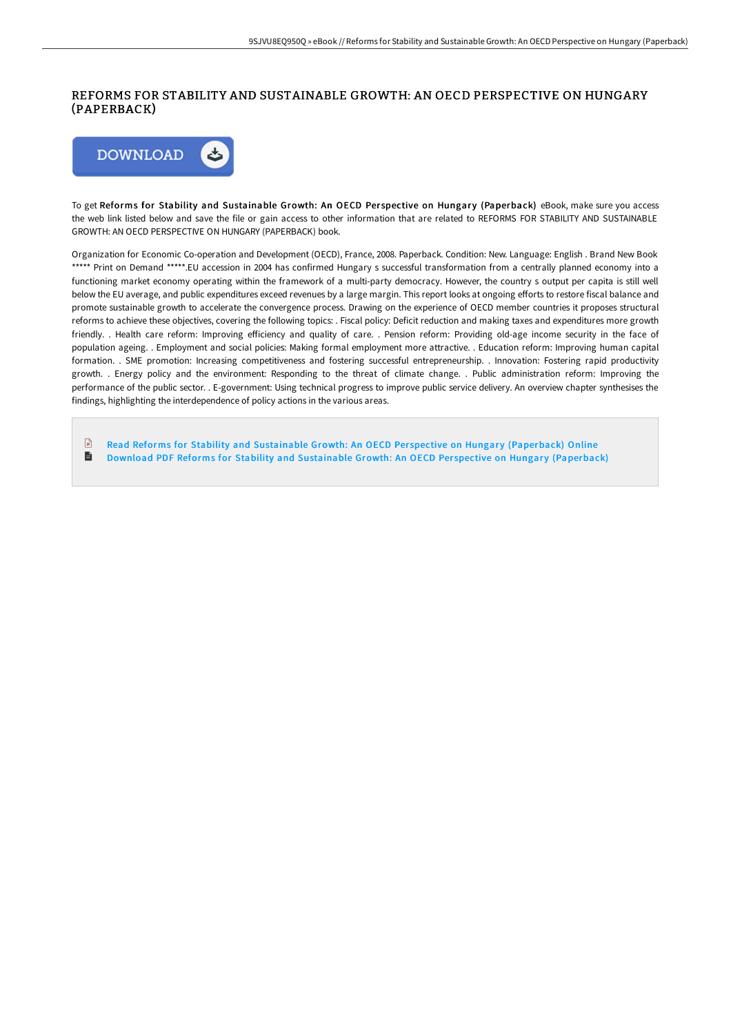### REFORMS FOR STABILITY AND SUSTAINABLE GROWTH: AN OECD PERSPECTIVE ON HUNGARY (PAPERBACK)



To get Reforms for Stability and Sustainable Growth: An OECD Perspective on Hungary (Paperback) eBook, make sure you access the web link listed below and save the file or gain access to other information that are related to REFORMS FOR STABILITY AND SUSTAINABLE GROWTH: AN OECD PERSPECTIVE ON HUNGARY (PAPERBACK) book.

Organization for Economic Co-operation and Development (OECD), France, 2008. Paperback. Condition: New. Language: English . Brand New Book \*\*\*\*\* Print on Demand \*\*\*\*\*.EU accession in 2004 has confirmed Hungary s successful transformation from a centrally planned economy into a functioning market economy operating within the framework of a multi-party democracy. However, the country s output per capita is still well below the EU average, and public expenditures exceed revenues by a large margin. This report looks at ongoing efforts to restore fiscal balance and promote sustainable growth to accelerate the convergence process. Drawing on the experience of OECD member countries it proposes structural reforms to achieve these objectives, covering the following topics: . Fiscal policy: Deficit reduction and making taxes and expenditures more growth friendly. . Health care reform: Improving efficiency and quality of care. . Pension reform: Providing old-age income security in the face of population ageing. . Employment and social policies: Making formal employment more attractive. . Education reform: Improving human capital formation. . SME promotion: Increasing competitiveness and fostering successful entrepreneurship. . Innovation: Fostering rapid productivity growth. . Energy policy and the environment: Responding to the threat of climate change. . Public administration reform: Improving the performance of the public sector. . E-government: Using technical progress to improve public service delivery. An overview chapter synthesises the findings, highlighting the interdependence of policy actions in the various areas.

 $\mathbb{R}$ Read Reforms for Stability and Sustainable Growth: An OECD Perspective on Hungary [\(Paperback\)](http://techno-pub.tech/reforms-for-stability-and-sustainable-growth-an-.html) Online  $\blacksquare$ Download PDF Reforms for Stability and Sustainable Growth: An OECD Perspective on Hungary [\(Paperback\)](http://techno-pub.tech/reforms-for-stability-and-sustainable-growth-an-.html)